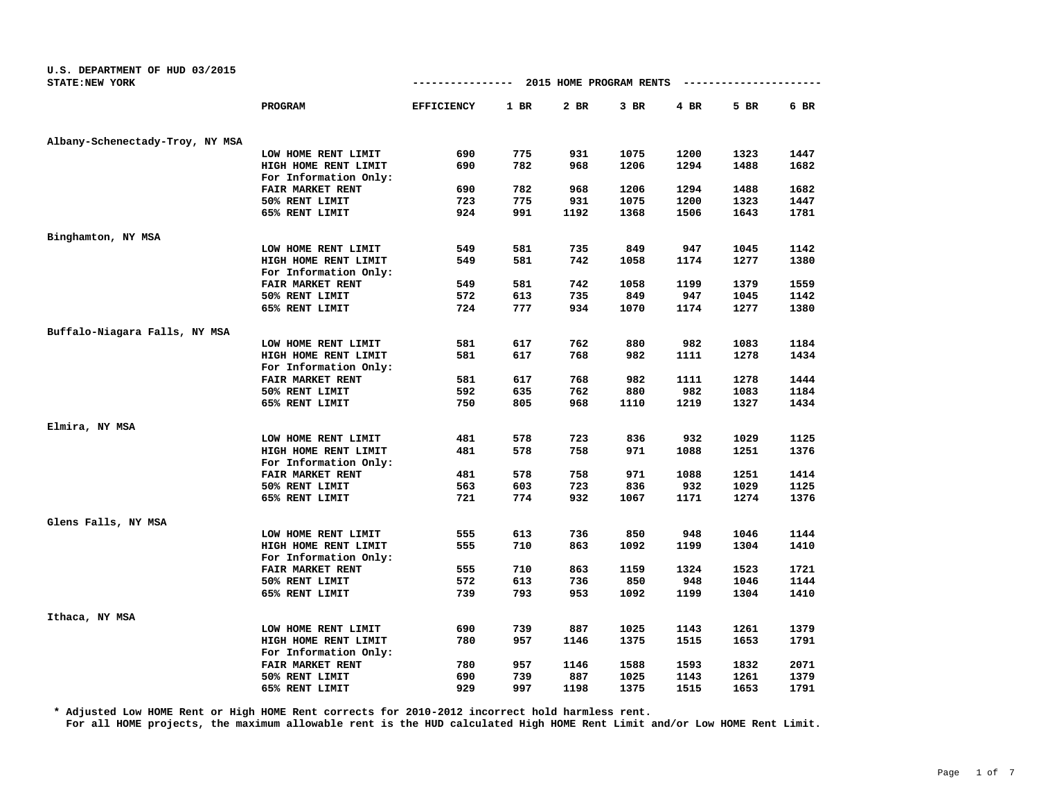| U.S. DEPARTMENT OF HUD 03/2015<br>STATE: NEW YORK |                         | 2015 HOME PROGRAM RENTS<br>-------------- |        |      |      |        |      |      |
|---------------------------------------------------|-------------------------|-------------------------------------------|--------|------|------|--------|------|------|
|                                                   | PROGRAM                 | <b>EFFICIENCY</b>                         | $1$ BR | 2 BR | 3 BR | $4$ BR | 5 BR | 6 BR |
| Albany-Schenectady-Troy, NY MSA                   |                         |                                           |        |      |      |        |      |      |
|                                                   | LOW HOME RENT LIMIT     | 690                                       | 775    | 931  | 1075 | 1200   | 1323 | 1447 |
|                                                   | HIGH HOME RENT LIMIT    | 690                                       | 782    | 968  | 1206 | 1294   | 1488 | 1682 |
|                                                   | For Information Only:   |                                           |        |      |      |        |      |      |
|                                                   | FAIR MARKET RENT        | 690                                       | 782    | 968  | 1206 | 1294   | 1488 | 1682 |
|                                                   | 50% RENT LIMIT          | 723                                       | 775    | 931  | 1075 | 1200   | 1323 | 1447 |
|                                                   | 65% RENT LIMIT          | 924                                       | 991    | 1192 | 1368 | 1506   | 1643 | 1781 |
| Binghamton, NY MSA                                |                         |                                           |        |      |      |        |      |      |
|                                                   | LOW HOME RENT LIMIT     | 549                                       | 581    | 735  | 849  | 947    | 1045 | 1142 |
|                                                   | HIGH HOME RENT LIMIT    | 549                                       | 581    | 742  | 1058 | 1174   | 1277 | 1380 |
|                                                   | For Information Only:   |                                           |        |      |      |        |      |      |
|                                                   | FAIR MARKET RENT        | 549                                       | 581    | 742  | 1058 | 1199   | 1379 | 1559 |
|                                                   | 50% RENT LIMIT          | 572                                       | 613    | 735  | 849  | 947    | 1045 | 1142 |
|                                                   | 65% RENT LIMIT          | 724                                       | 777    | 934  | 1070 | 1174   | 1277 | 1380 |
| Buffalo-Niagara Falls, NY MSA                     |                         |                                           |        |      |      |        |      |      |
|                                                   | LOW HOME RENT LIMIT     | 581                                       | 617    | 762  | 880  | 982    | 1083 | 1184 |
|                                                   | HIGH HOME RENT LIMIT    | 581                                       | 617    | 768  | 982  | 1111   | 1278 | 1434 |
|                                                   | For Information Only:   |                                           |        |      |      |        |      |      |
|                                                   | <b>FAIR MARKET RENT</b> | 581                                       | 617    | 768  | 982  | 1111   | 1278 | 1444 |
|                                                   | 50% RENT LIMIT          | 592                                       | 635    | 762  | 880  | 982    | 1083 | 1184 |
|                                                   | 65% RENT LIMIT          | 750                                       | 805    | 968  | 1110 | 1219   | 1327 | 1434 |
| Elmira, NY MSA                                    |                         |                                           |        |      |      |        |      |      |
|                                                   | LOW HOME RENT LIMIT     | 481                                       | 578    | 723  | 836  | 932    | 1029 | 1125 |
|                                                   | HIGH HOME RENT LIMIT    | 481                                       | 578    | 758  | 971  | 1088   | 1251 | 1376 |
|                                                   | For Information Only:   |                                           |        |      |      |        |      |      |
|                                                   | FAIR MARKET RENT        | 481                                       | 578    | 758  | 971  | 1088   | 1251 | 1414 |
|                                                   | 50% RENT LIMIT          | 563                                       | 603    | 723  | 836  | 932    | 1029 | 1125 |
|                                                   | 65% RENT LIMIT          | 721                                       | 774    | 932  | 1067 | 1171   | 1274 | 1376 |
| Glens Falls, NY MSA                               |                         |                                           |        |      |      |        |      |      |
|                                                   | LOW HOME RENT LIMIT     | 555                                       | 613    | 736  | 850  | 948    | 1046 | 1144 |
|                                                   | HIGH HOME RENT LIMIT    | 555                                       | 710    | 863  | 1092 | 1199   | 1304 | 1410 |
|                                                   | For Information Only:   |                                           |        |      |      |        |      |      |
|                                                   | FAIR MARKET RENT        | 555                                       | 710    | 863  | 1159 | 1324   | 1523 | 1721 |
|                                                   | 50% RENT LIMIT          | 572                                       | 613    | 736  | 850  | 948    | 1046 | 1144 |
|                                                   | 65% RENT LIMIT          | 739                                       | 793    | 953  | 1092 | 1199   | 1304 | 1410 |
| Ithaca, NY MSA                                    |                         |                                           |        |      |      |        |      |      |
|                                                   | LOW HOME RENT LIMIT     | 690                                       | 739    | 887  | 1025 | 1143   | 1261 | 1379 |
|                                                   | HIGH HOME RENT LIMIT    | 780                                       | 957    | 1146 | 1375 | 1515   | 1653 | 1791 |
|                                                   | For Information Only:   |                                           |        |      |      |        |      |      |
|                                                   | FAIR MARKET RENT        | 780                                       | 957    | 1146 | 1588 | 1593   | 1832 | 2071 |
|                                                   | 50% RENT LIMIT          | 690                                       | 739    | 887  | 1025 | 1143   | 1261 | 1379 |
|                                                   | 65% RENT LIMIT          | 929                                       | 997    | 1198 | 1375 | 1515   | 1653 | 1791 |

**\* Adjusted Low HOME Rent or High HOME Rent corrects for 2010-2012 incorrect hold harmless rent.**

**For all HOME projects, the maximum allowable rent is the HUD calculated High HOME Rent Limit and/or Low HOME Rent Limit.**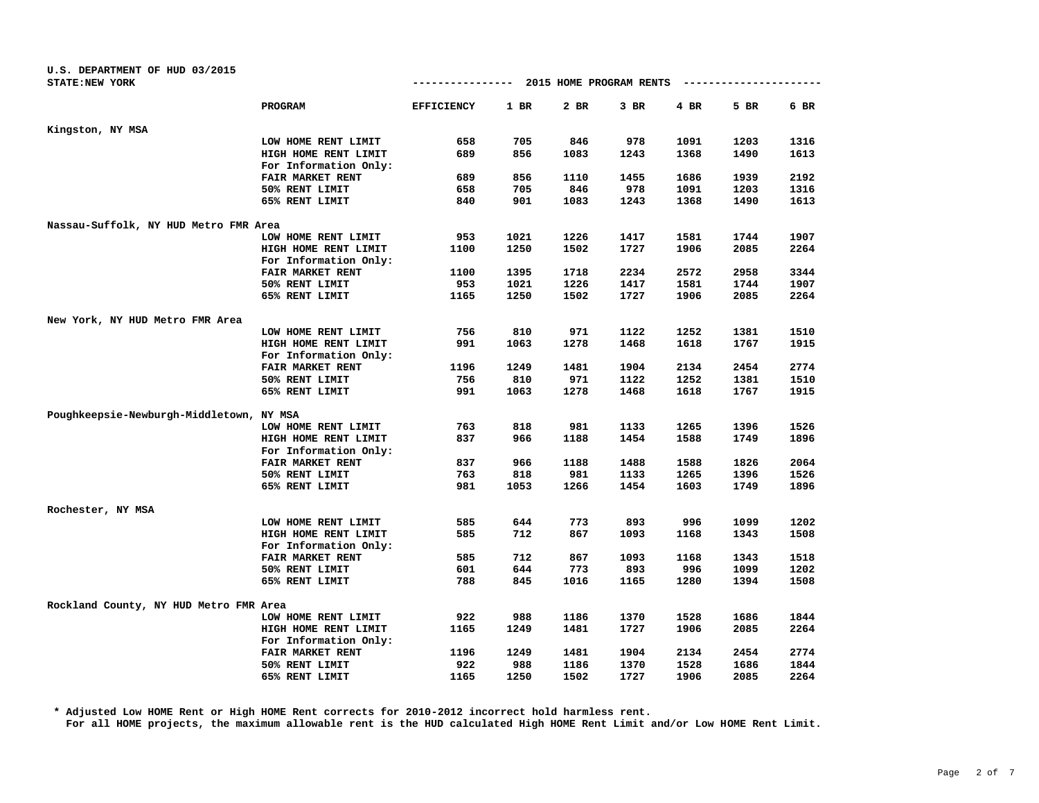| U.S. DEPARTMENT OF HUD 03/2015           |                         |                   |      |      |                         |      |                        |        |
|------------------------------------------|-------------------------|-------------------|------|------|-------------------------|------|------------------------|--------|
| <b>STATE:NEW YORK</b>                    |                         | --------------    |      |      | 2015 HOME PROGRAM RENTS |      | ---------------------- |        |
|                                          | <b>PROGRAM</b>          | <b>EFFICIENCY</b> | 1 BR | 2 BR | $3$ BR                  | 4 BR | 5 BR                   | $6$ BR |
| Kingston, NY MSA                         |                         |                   |      |      |                         |      |                        |        |
|                                          | LOW HOME RENT LIMIT     | 658               | 705  | 846  | 978                     | 1091 | 1203                   | 1316   |
|                                          | HIGH HOME RENT LIMIT    | 689               | 856  | 1083 | 1243                    | 1368 | 1490                   | 1613   |
|                                          | For Information Only:   |                   |      |      |                         |      |                        |        |
|                                          | FAIR MARKET RENT        | 689               | 856  | 1110 | 1455                    | 1686 | 1939                   | 2192   |
|                                          | 50% RENT LIMIT          | 658               | 705  | 846  | 978                     | 1091 | 1203                   | 1316   |
|                                          | 65% RENT LIMIT          | 840               | 901  | 1083 | 1243                    | 1368 | 1490                   | 1613   |
| Nassau-Suffolk, NY HUD Metro FMR Area    |                         |                   |      |      |                         |      |                        |        |
|                                          | LOW HOME RENT LIMIT     | 953               | 1021 | 1226 | 1417                    | 1581 | 1744                   | 1907   |
|                                          | HIGH HOME RENT LIMIT    | 1100              | 1250 | 1502 | 1727                    | 1906 | 2085                   | 2264   |
|                                          | For Information Only:   |                   |      |      |                         |      |                        |        |
|                                          | FAIR MARKET RENT        | 1100              | 1395 | 1718 | 2234                    | 2572 | 2958                   | 3344   |
|                                          | 50% RENT LIMIT          | 953               | 1021 | 1226 | 1417                    | 1581 | 1744                   | 1907   |
|                                          | 65% RENT LIMIT          | 1165              | 1250 | 1502 | 1727                    | 1906 | 2085                   | 2264   |
| New York, NY HUD Metro FMR Area          |                         |                   |      |      |                         |      |                        |        |
|                                          | LOW HOME RENT LIMIT     | 756               | 810  | 971  | 1122                    | 1252 | 1381                   | 1510   |
|                                          | HIGH HOME RENT LIMIT    | 991               | 1063 | 1278 | 1468                    | 1618 | 1767                   | 1915   |
|                                          | For Information Only:   |                   |      |      |                         |      |                        |        |
|                                          | FAIR MARKET RENT        | 1196              | 1249 | 1481 | 1904                    | 2134 | 2454                   | 2774   |
|                                          | 50% RENT LIMIT          | 756               | 810  | 971  | 1122                    | 1252 | 1381                   | 1510   |
|                                          | 65% RENT LIMIT          | 991               | 1063 | 1278 | 1468                    | 1618 | 1767                   | 1915   |
| Poughkeepsie-Newburgh-Middletown, NY MSA |                         |                   |      |      |                         |      |                        |        |
|                                          | LOW HOME RENT LIMIT     | 763               | 818  | 981  | 1133                    | 1265 | 1396                   | 1526   |
|                                          | HIGH HOME RENT LIMIT    | 837               | 966  | 1188 | 1454                    | 1588 | 1749                   | 1896   |
|                                          | For Information Only:   |                   |      |      |                         |      |                        |        |
|                                          | <b>FAIR MARKET RENT</b> | 837               | 966  | 1188 | 1488                    | 1588 | 1826                   | 2064   |
|                                          | 50% RENT LIMIT          | 763               | 818  | 981  | 1133                    | 1265 | 1396                   | 1526   |
|                                          | 65% RENT LIMIT          | 981               | 1053 | 1266 | 1454                    | 1603 | 1749                   | 1896   |
| Rochester, NY MSA                        |                         |                   |      |      |                         |      |                        |        |
|                                          | LOW HOME RENT LIMIT     | 585               | 644  | 773  | 893                     | 996  | 1099                   | 1202   |
|                                          | HIGH HOME RENT LIMIT    | 585               | 712  | 867  | 1093                    | 1168 | 1343                   | 1508   |
|                                          | For Information Only:   |                   |      |      |                         |      |                        |        |
|                                          | FAIR MARKET RENT        | 585               | 712  | 867  | 1093                    | 1168 | 1343                   | 1518   |
|                                          | 50% RENT LIMIT          | 601               | 644  | 773  | 893                     | 996  | 1099                   | 1202   |
|                                          | 65% RENT LIMIT          | 788               | 845  | 1016 | 1165                    | 1280 | 1394                   | 1508   |
|                                          |                         |                   |      |      |                         |      |                        |        |
| Rockland County, NY HUD Metro FMR Area   | LOW HOME RENT LIMIT     | 922               | 988  | 1186 | 1370                    | 1528 | 1686                   | 1844   |
|                                          | HIGH HOME RENT LIMIT    | 1165              | 1249 | 1481 | 1727                    | 1906 | 2085                   | 2264   |
|                                          | For Information Only:   |                   |      |      |                         |      |                        |        |
|                                          | FAIR MARKET RENT        | 1196              | 1249 | 1481 | 1904                    | 2134 | 2454                   | 2774   |
|                                          | 50% RENT LIMIT          | 922               | 988  | 1186 | 1370                    | 1528 | 1686                   | 1844   |
|                                          | 65% RENT LIMIT          | 1165              | 1250 | 1502 | 1727                    | 1906 | 2085                   | 2264   |
|                                          |                         |                   |      |      |                         |      |                        |        |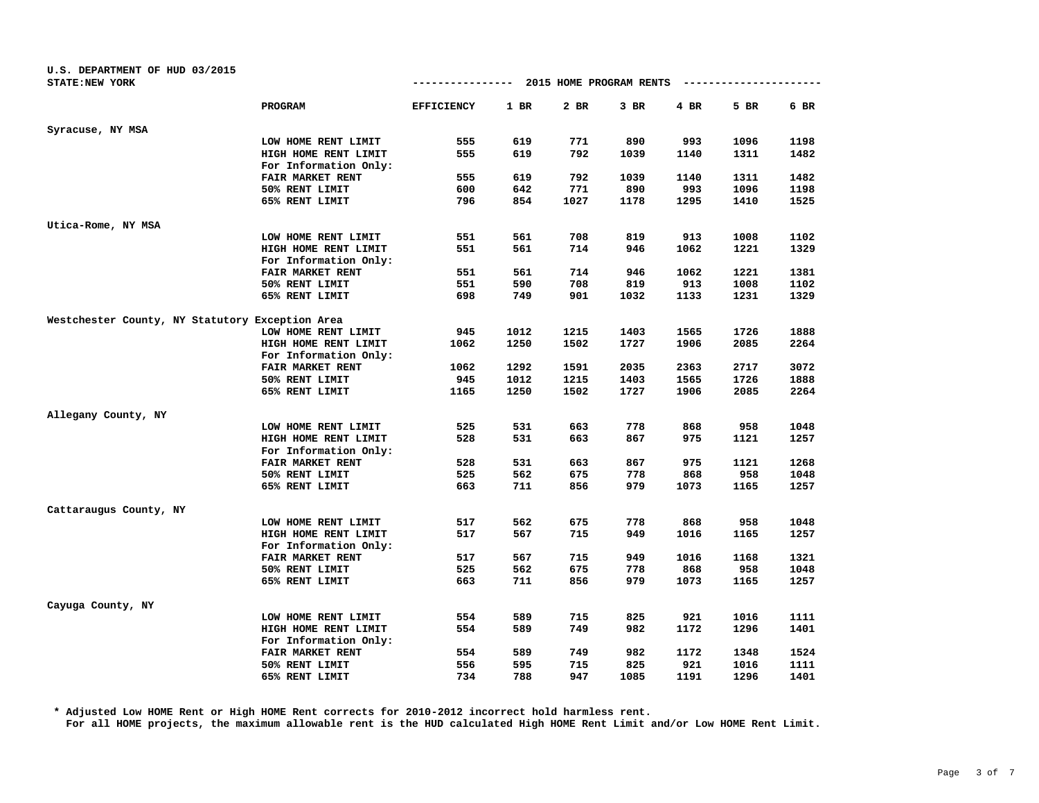| U.S. DEPARTMENT OF HUD 03/2015                  |                         |                   |        |                         |        |      |      |      |
|-------------------------------------------------|-------------------------|-------------------|--------|-------------------------|--------|------|------|------|
| <b>STATE: NEW YORK</b>                          |                         | -------------     |        | 2015 HOME PROGRAM RENTS |        |      |      |      |
|                                                 | PROGRAM                 | <b>EFFICIENCY</b> | $1$ BR | $2$ BR                  | $3$ BR | 4 BR | 5 BR | 6 BR |
| Syracuse, NY MSA                                |                         |                   |        |                         |        |      |      |      |
|                                                 | LOW HOME RENT LIMIT     | 555               | 619    | 771                     | 890    | 993  | 1096 | 1198 |
|                                                 | HIGH HOME RENT LIMIT    | 555               | 619    | 792                     | 1039   | 1140 | 1311 | 1482 |
|                                                 | For Information Only:   |                   |        |                         |        |      |      |      |
|                                                 | FAIR MARKET RENT        | 555               | 619    | 792                     | 1039   | 1140 | 1311 | 1482 |
|                                                 | 50% RENT LIMIT          | 600               | 642    | 771                     | 890    | 993  | 1096 | 1198 |
|                                                 | 65% RENT LIMIT          | 796               | 854    | 1027                    | 1178   | 1295 | 1410 | 1525 |
| Utica-Rome, NY MSA                              |                         |                   |        |                         |        |      |      |      |
|                                                 | LOW HOME RENT LIMIT     | 551               | 561    | 708                     | 819    | 913  | 1008 | 1102 |
|                                                 | HIGH HOME RENT LIMIT    | 551               | 561    | 714                     | 946    | 1062 | 1221 | 1329 |
|                                                 | For Information Only:   |                   |        |                         |        |      |      |      |
|                                                 | <b>FAIR MARKET RENT</b> | 551               | 561    | 714                     | 946    | 1062 | 1221 | 1381 |
|                                                 | 50% RENT LIMIT          | 551               | 590    | 708                     | 819    | 913  | 1008 | 1102 |
|                                                 | 65% RENT LIMIT          | 698               | 749    | 901                     | 1032   | 1133 | 1231 | 1329 |
| Westchester County, NY Statutory Exception Area |                         |                   |        |                         |        |      |      |      |
|                                                 | LOW HOME RENT LIMIT     | 945               | 1012   | 1215                    | 1403   | 1565 | 1726 | 1888 |
|                                                 | HIGH HOME RENT LIMIT    | 1062              | 1250   | 1502                    | 1727   | 1906 | 2085 | 2264 |
|                                                 | For Information Only:   |                   |        |                         |        |      |      |      |
|                                                 | FAIR MARKET RENT        | 1062              | 1292   | 1591                    | 2035   | 2363 | 2717 | 3072 |
|                                                 | 50% RENT LIMIT          | 945               | 1012   | 1215                    | 1403   | 1565 | 1726 | 1888 |
|                                                 | 65% RENT LIMIT          | 1165              | 1250   | 1502                    | 1727   | 1906 | 2085 | 2264 |
| Allegany County, NY                             |                         |                   |        |                         |        |      |      |      |
|                                                 | LOW HOME RENT LIMIT     | 525               | 531    | 663                     | 778    | 868  | 958  | 1048 |
|                                                 | HIGH HOME RENT LIMIT    | 528               | 531    | 663                     | 867    | 975  | 1121 | 1257 |
|                                                 | For Information Only:   |                   |        |                         |        |      |      |      |
|                                                 | FAIR MARKET RENT        | 528               | 531    | 663                     | 867    | 975  | 1121 | 1268 |
|                                                 | 50% RENT LIMIT          | 525               | 562    | 675                     | 778    | 868  | 958  | 1048 |
|                                                 | 65% RENT LIMIT          | 663               | 711    | 856                     | 979    | 1073 | 1165 | 1257 |
| Cattaraugus County, NY                          |                         |                   |        |                         |        |      |      |      |
|                                                 | LOW HOME RENT LIMIT     | 517               | 562    | 675                     | 778    | 868  | 958  | 1048 |
|                                                 | HIGH HOME RENT LIMIT    | 517               | 567    | 715                     | 949    | 1016 | 1165 | 1257 |
|                                                 | For Information Only:   |                   |        |                         |        |      |      |      |
|                                                 | FAIR MARKET RENT        | 517               | 567    | 715                     | 949    | 1016 | 1168 | 1321 |
|                                                 | 50% RENT LIMIT          | 525               | 562    | 675                     | 778    | 868  | 958  | 1048 |
|                                                 | 65% RENT LIMIT          | 663               | 711    | 856                     | 979    | 1073 | 1165 | 1257 |
| Cayuga County, NY                               |                         |                   |        |                         |        |      |      |      |
|                                                 | LOW HOME RENT LIMIT     | 554               | 589    | 715                     | 825    | 921  | 1016 | 1111 |
|                                                 | HIGH HOME RENT LIMIT    | 554               | 589    | 749                     | 982    | 1172 | 1296 | 1401 |
|                                                 | For Information Only:   |                   |        |                         |        |      |      |      |
|                                                 | FAIR MARKET RENT        | 554               | 589    | 749                     | 982    | 1172 | 1348 | 1524 |
|                                                 | 50% RENT LIMIT          | 556               | 595    | 715                     | 825    | 921  | 1016 | 1111 |
|                                                 | 65% RENT LIMIT          | 734               | 788    | 947                     | 1085   | 1191 | 1296 | 1401 |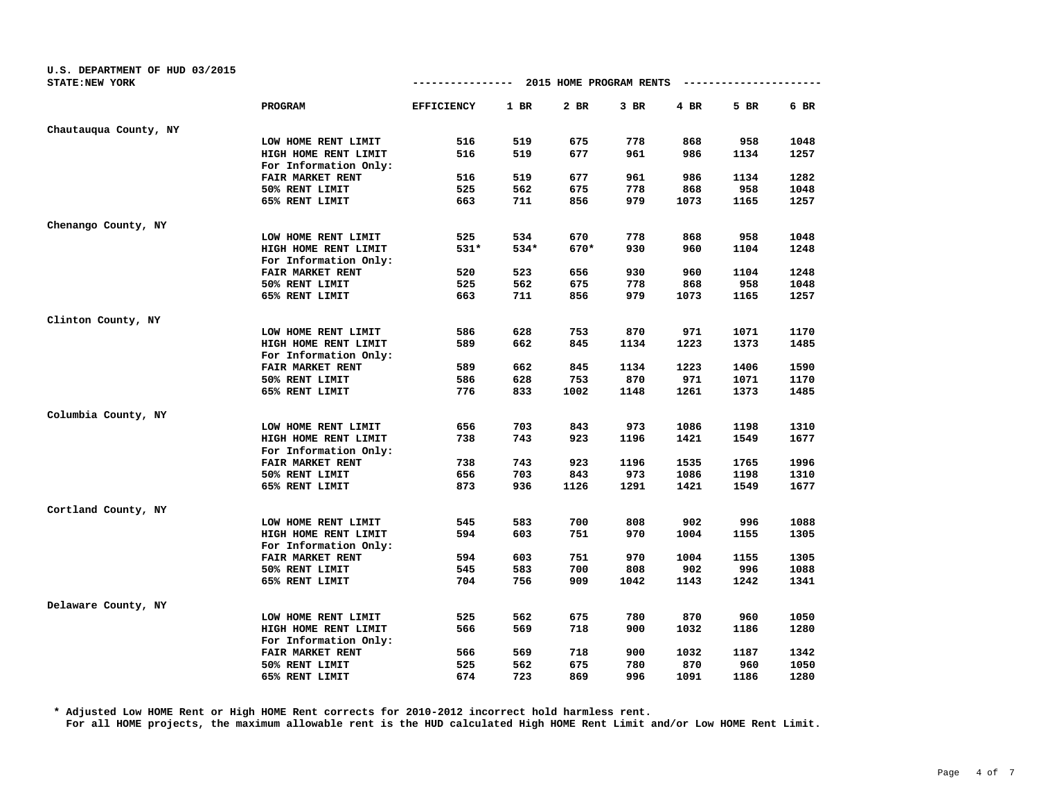| U.S. DEPARTMENT OF HUD 03/2015 |                       |                   |        |                         |        |      |      |      |
|--------------------------------|-----------------------|-------------------|--------|-------------------------|--------|------|------|------|
| STATE: NEW YORK                |                       | -------------     |        | 2015 HOME PROGRAM RENTS |        |      |      |      |
|                                | PROGRAM               | <b>EFFICIENCY</b> | $1$ BR | $2$ BR                  | $3$ BR | 4 BR | 5 BR | 6 BR |
| Chautauqua County, NY          |                       |                   |        |                         |        |      |      |      |
|                                | LOW HOME RENT LIMIT   | 516               | 519    | 675                     | 778    | 868  | 958  | 1048 |
|                                | HIGH HOME RENT LIMIT  | 516               | 519    | 677                     | 961    | 986  | 1134 | 1257 |
|                                | For Information Only: |                   |        |                         |        |      |      |      |
|                                | FAIR MARKET RENT      | 516               | 519    | 677                     | 961    | 986  | 1134 | 1282 |
|                                | 50% RENT LIMIT        | 525               | 562    | 675                     | 778    | 868  | 958  | 1048 |
|                                | 65% RENT LIMIT        | 663               | 711    | 856                     | 979    | 1073 | 1165 | 1257 |
| Chenango County, NY            |                       |                   |        |                         |        |      |      |      |
|                                | LOW HOME RENT LIMIT   | 525               | 534    | 670                     | 778    | 868  | 958  | 1048 |
|                                | HIGH HOME RENT LIMIT  | $531*$            | 534*   | 670*                    | 930    | 960  | 1104 | 1248 |
|                                | For Information Only: |                   |        |                         |        |      |      |      |
|                                | FAIR MARKET RENT      | 520               | 523    | 656                     | 930    | 960  | 1104 | 1248 |
|                                | 50% RENT LIMIT        | 525               | 562    | 675                     | 778    | 868  | 958  | 1048 |
|                                | 65% RENT LIMIT        | 663               | 711    | 856                     | 979    | 1073 | 1165 | 1257 |
| Clinton County, NY             |                       |                   |        |                         |        |      |      |      |
|                                | LOW HOME RENT LIMIT   | 586               | 628    | 753                     | 870    | 971  | 1071 | 1170 |
|                                | HIGH HOME RENT LIMIT  | 589               | 662    | 845                     | 1134   | 1223 | 1373 | 1485 |
|                                | For Information Only: |                   |        |                         |        |      |      |      |
|                                | FAIR MARKET RENT      | 589               | 662    | 845                     | 1134   | 1223 | 1406 | 1590 |
|                                | 50% RENT LIMIT        | 586               | 628    | 753                     | 870    | 971  | 1071 | 1170 |
|                                | 65% RENT LIMIT        | 776               | 833    | 1002                    | 1148   | 1261 | 1373 | 1485 |
| Columbia County, NY            |                       |                   |        |                         |        |      |      |      |
|                                | LOW HOME RENT LIMIT   | 656               | 703    | 843                     | 973    | 1086 | 1198 | 1310 |
|                                | HIGH HOME RENT LIMIT  | 738               | 743    | 923                     | 1196   | 1421 | 1549 | 1677 |
|                                | For Information Only: |                   |        |                         |        |      |      |      |
|                                | FAIR MARKET RENT      | 738               | 743    | 923                     | 1196   | 1535 | 1765 | 1996 |
|                                | 50% RENT LIMIT        | 656               | 703    | 843                     | 973    | 1086 | 1198 | 1310 |
|                                | 65% RENT LIMIT        | 873               | 936    | 1126                    | 1291   | 1421 | 1549 | 1677 |
| Cortland County, NY            |                       |                   |        |                         |        |      |      |      |
|                                | LOW HOME RENT LIMIT   | 545               | 583    | 700                     | 808    | 902  | 996  | 1088 |
|                                | HIGH HOME RENT LIMIT  | 594               | 603    | 751                     | 970    | 1004 | 1155 | 1305 |
|                                | For Information Only: |                   |        |                         |        |      |      |      |
|                                | FAIR MARKET RENT      | 594               | 603    | 751                     | 970    | 1004 | 1155 | 1305 |
|                                | 50% RENT LIMIT        | 545               | 583    | 700                     | 808    | 902  | 996  | 1088 |
|                                | 65% RENT LIMIT        | 704               | 756    | 909                     | 1042   | 1143 | 1242 | 1341 |
| Delaware County, NY            |                       |                   |        |                         |        |      |      |      |
|                                | LOW HOME RENT LIMIT   | 525               | 562    | 675                     | 780    | 870  | 960  | 1050 |
|                                | HIGH HOME RENT LIMIT  | 566               | 569    | 718                     | 900    | 1032 | 1186 | 1280 |
|                                | For Information Only: |                   |        |                         |        |      |      |      |
|                                | FAIR MARKET RENT      | 566               | 569    | 718                     | 900    | 1032 | 1187 | 1342 |
|                                | 50% RENT LIMIT        | 525               | 562    | 675                     | 780    | 870  | 960  | 1050 |
|                                | 65% RENT LIMIT        | 674               | 723    | 869                     | 996    | 1091 | 1186 | 1280 |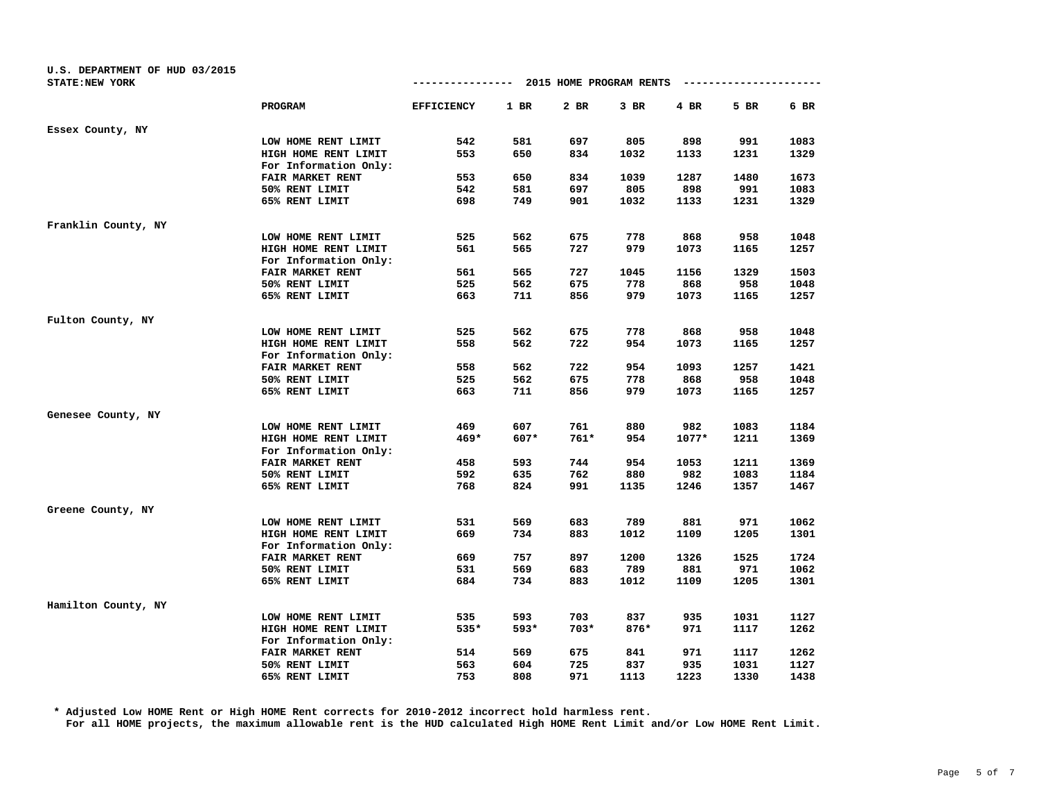| U.S. DEPARTMENT OF HUD 03/2015 |                       |                   |        |                         |        |         |                      |      |
|--------------------------------|-----------------------|-------------------|--------|-------------------------|--------|---------|----------------------|------|
| STATE: NEW YORK                |                       | ---------------   |        | 2015 HOME PROGRAM RENTS |        |         | -------------------- |      |
|                                | PROGRAM               | <b>EFFICIENCY</b> | $1$ BR | 2 BR                    | 3 BR   | 4 BR    | 5 BR                 | 6 BR |
| Essex County, NY               |                       |                   |        |                         |        |         |                      |      |
|                                | LOW HOME RENT LIMIT   | 542               | 581    | 697                     | 805    | 898     | 991                  | 1083 |
|                                | HIGH HOME RENT LIMIT  | 553               | 650    | 834                     | 1032   | 1133    | 1231                 | 1329 |
|                                | For Information Only: |                   |        |                         |        |         |                      |      |
|                                | FAIR MARKET RENT      | 553               | 650    | 834                     | 1039   | 1287    | 1480                 | 1673 |
|                                | 50% RENT LIMIT        | 542               | 581    | 697                     | 805    | 898     | 991                  | 1083 |
|                                | 65% RENT LIMIT        | 698               | 749    | 901                     | 1032   | 1133    | 1231                 | 1329 |
| Franklin County, NY            |                       |                   |        |                         |        |         |                      |      |
|                                | LOW HOME RENT LIMIT   | 525               | 562    | 675                     | 778    | 868     | 958                  | 1048 |
|                                | HIGH HOME RENT LIMIT  | 561               | 565    | 727                     | 979    | 1073    | 1165                 | 1257 |
|                                | For Information Only: |                   |        |                         |        |         |                      |      |
|                                | FAIR MARKET RENT      | 561               | 565    | 727                     | 1045   | 1156    | 1329                 | 1503 |
|                                | 50% RENT LIMIT        | 525               | 562    | 675                     | 778    | 868     | 958                  | 1048 |
|                                | 65% RENT LIMIT        | 663               | 711    | 856                     | 979    | 1073    | 1165                 | 1257 |
| Fulton County, NY              |                       |                   |        |                         |        |         |                      |      |
|                                | LOW HOME RENT LIMIT   | 525               | 562    | 675                     | 778    | 868     | 958                  | 1048 |
|                                | HIGH HOME RENT LIMIT  | 558               | 562    | 722                     | 954    | 1073    | 1165                 | 1257 |
|                                | For Information Only: |                   |        |                         |        |         |                      |      |
|                                | FAIR MARKET RENT      | 558               | 562    | 722                     | 954    | 1093    | 1257                 | 1421 |
|                                | 50% RENT LIMIT        | 525               | 562    | 675                     | 778    | 868     | 958                  | 1048 |
|                                | 65% RENT LIMIT        | 663               | 711    | 856                     | 979    | 1073    | 1165                 | 1257 |
| Genesee County, NY             |                       |                   |        |                         |        |         |                      |      |
|                                | LOW HOME RENT LIMIT   | 469               | 607    | 761                     | 880    | 982     | 1083                 | 1184 |
|                                | HIGH HOME RENT LIMIT  | $469*$            | 607*   | $761*$                  | 954    | $1077*$ | 1211                 | 1369 |
|                                | For Information Only: |                   |        |                         |        |         |                      |      |
|                                | FAIR MARKET RENT      | 458               | 593    | 744                     | 954    | 1053    | 1211                 | 1369 |
|                                | 50% RENT LIMIT        | 592               | 635    | 762                     | 880    | 982     | 1083                 | 1184 |
|                                | 65% RENT LIMIT        | 768               | 824    | 991                     | 1135   | 1246    | 1357                 | 1467 |
| Greene County, NY              |                       |                   |        |                         |        |         |                      |      |
|                                | LOW HOME RENT LIMIT   | 531               | 569    | 683                     | 789    | 881     | 971                  | 1062 |
|                                | HIGH HOME RENT LIMIT  | 669               | 734    | 883                     | 1012   | 1109    | 1205                 | 1301 |
|                                | For Information Only: |                   |        |                         |        |         |                      |      |
|                                | FAIR MARKET RENT      | 669               | 757    | 897                     | 1200   | 1326    | 1525                 | 1724 |
|                                | 50% RENT LIMIT        | 531               | 569    | 683                     | 789    | 881     | 971                  | 1062 |
|                                | 65% RENT LIMIT        | 684               | 734    | 883                     | 1012   | 1109    | 1205                 | 1301 |
| Hamilton County, NY            |                       |                   |        |                         |        |         |                      |      |
|                                | LOW HOME RENT LIMIT   | 535               | 593    | 703                     | 837    | 935     | 1031                 | 1127 |
|                                | HIGH HOME RENT LIMIT  | 535*              | 593*   | $703*$                  | $876*$ | 971     | 1117                 | 1262 |
|                                | For Information Only: |                   |        |                         |        |         |                      |      |
|                                | FAIR MARKET RENT      | 514               | 569    | 675                     | 841    | 971     | 1117                 | 1262 |
|                                | 50% RENT LIMIT        | 563               | 604    | 725                     | 837    | 935     | 1031                 | 1127 |
|                                | 65% RENT LIMIT        | 753               | 808    | 971                     | 1113   | 1223    | 1330                 | 1438 |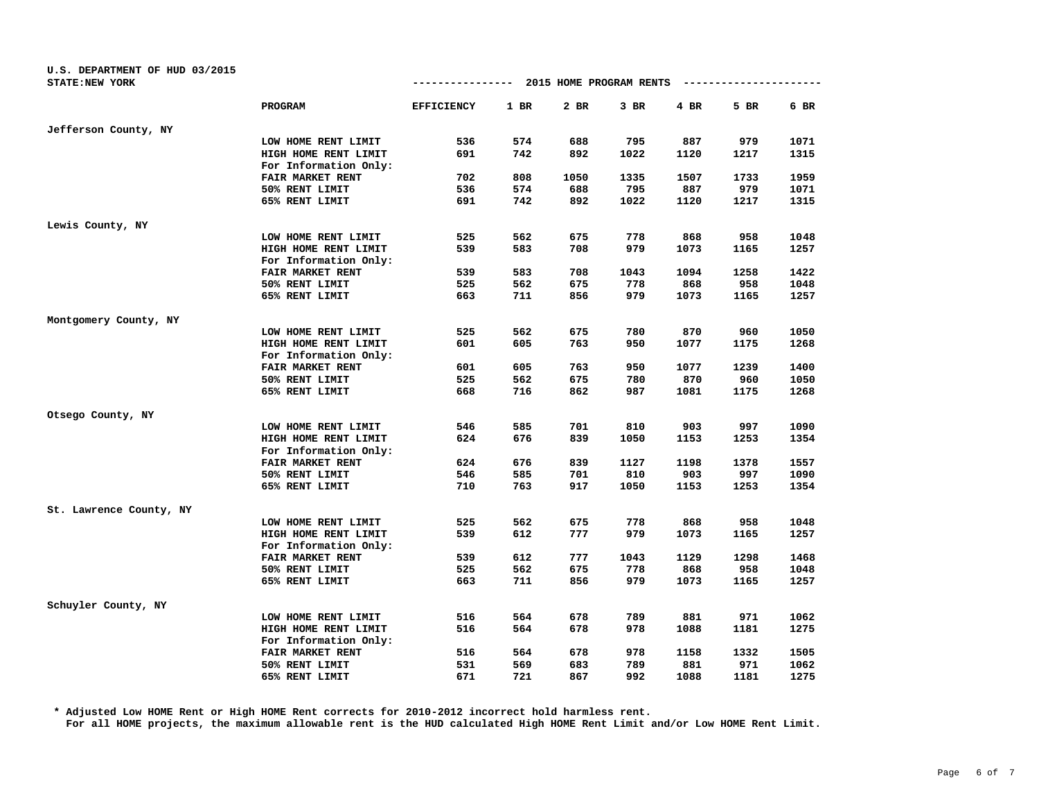| U.S. DEPARTMENT OF HUD 03/2015 |                       |                                        |      |      |      |      |                        |      |
|--------------------------------|-----------------------|----------------------------------------|------|------|------|------|------------------------|------|
| STATE: NEW YORK                |                       | -------------- 2015 HOME PROGRAM RENTS |      |      |      |      | ---------------------- |      |
|                                | <b>PROGRAM</b>        | <b>EFFICIENCY</b>                      | 1 BR | 2 BR | 3 BR | 4 BR | 5 BR                   | 6 BR |
| Jefferson County, NY           |                       |                                        |      |      |      |      |                        |      |
|                                | LOW HOME RENT LIMIT   | 536                                    | 574  | 688  | 795  | 887  | 979                    | 1071 |
|                                | HIGH HOME RENT LIMIT  | 691                                    | 742  | 892  | 1022 | 1120 | 1217                   | 1315 |
|                                | For Information Only: |                                        |      |      |      |      |                        |      |
|                                | FAIR MARKET RENT      | 702                                    | 808  | 1050 | 1335 | 1507 | 1733                   | 1959 |
|                                | 50% RENT LIMIT        | 536                                    | 574  | 688  | 795  | 887  | 979                    | 1071 |
|                                | 65% RENT LIMIT        | 691                                    | 742  | 892  | 1022 | 1120 | 1217                   | 1315 |
| Lewis County, NY               |                       |                                        |      |      |      |      |                        |      |
|                                | LOW HOME RENT LIMIT   | 525                                    | 562  | 675  | 778  | 868  | 958                    | 1048 |
|                                | HIGH HOME RENT LIMIT  | 539                                    | 583  | 708  | 979  | 1073 | 1165                   | 1257 |
|                                | For Information Only: |                                        |      |      |      |      |                        |      |
|                                | FAIR MARKET RENT      | 539                                    | 583  | 708  | 1043 | 1094 | 1258                   | 1422 |
|                                | 50% RENT LIMIT        | 525                                    | 562  | 675  | 778  | 868  | 958                    | 1048 |
|                                | 65% RENT LIMIT        | 663                                    | 711  | 856  | 979  | 1073 | 1165                   | 1257 |
| Montgomery County, NY          |                       |                                        |      |      |      |      |                        |      |
|                                | LOW HOME RENT LIMIT   | 525                                    | 562  | 675  | 780  | 870  | 960                    | 1050 |
|                                | HIGH HOME RENT LIMIT  | 601                                    | 605  | 763  | 950  | 1077 | 1175                   | 1268 |
|                                | For Information Only: |                                        |      |      |      |      |                        |      |
|                                | FAIR MARKET RENT      | 601                                    | 605  | 763  | 950  | 1077 | 1239                   | 1400 |
|                                | 50% RENT LIMIT        | 525                                    | 562  | 675  | 780  | 870  | 960                    | 1050 |
|                                | 65% RENT LIMIT        | 668                                    | 716  | 862  | 987  | 1081 | 1175                   | 1268 |
| Otsego County, NY              |                       |                                        |      |      |      |      |                        |      |
|                                | LOW HOME RENT LIMIT   | 546                                    | 585  | 701  | 810  | 903  | 997                    | 1090 |
|                                | HIGH HOME RENT LIMIT  | 624                                    | 676  | 839  | 1050 | 1153 | 1253                   | 1354 |
|                                | For Information Only: |                                        |      |      |      |      |                        |      |
|                                | FAIR MARKET RENT      | 624                                    | 676  | 839  | 1127 | 1198 | 1378                   | 1557 |
|                                | 50% RENT LIMIT        | 546                                    | 585  | 701  | 810  | 903  | 997                    | 1090 |
|                                | 65% RENT LIMIT        | 710                                    | 763  | 917  | 1050 | 1153 | 1253                   | 1354 |
| St. Lawrence County, NY        |                       |                                        |      |      |      |      |                        |      |
|                                | LOW HOME RENT LIMIT   | 525                                    | 562  | 675  | 778  | 868  | 958                    | 1048 |
|                                | HIGH HOME RENT LIMIT  | 539                                    | 612  | 777  | 979  | 1073 | 1165                   | 1257 |
|                                | For Information Only: |                                        |      |      |      |      |                        |      |
|                                | FAIR MARKET RENT      | 539                                    | 612  | 777  | 1043 | 1129 | 1298                   | 1468 |
|                                | 50% RENT LIMIT        | 525                                    | 562  | 675  | 778  | 868  | 958                    | 1048 |
|                                | 65% RENT LIMIT        | 663                                    | 711  | 856  | 979  | 1073 | 1165                   | 1257 |
| Schuyler County, NY            |                       |                                        |      |      |      |      |                        |      |
|                                | LOW HOME RENT LIMIT   | 516                                    | 564  | 678  | 789  | 881  | 971                    | 1062 |
|                                | HIGH HOME RENT LIMIT  | 516                                    | 564  | 678  | 978  | 1088 | 1181                   | 1275 |
|                                | For Information Only: |                                        |      |      |      |      |                        |      |
|                                | FAIR MARKET RENT      | 516                                    | 564  | 678  | 978  | 1158 | 1332                   | 1505 |
|                                | 50% RENT LIMIT        | 531                                    | 569  | 683  | 789  | 881  | 971                    | 1062 |
|                                | 65% RENT LIMIT        | 671                                    | 721  | 867  | 992  | 1088 | 1181                   | 1275 |